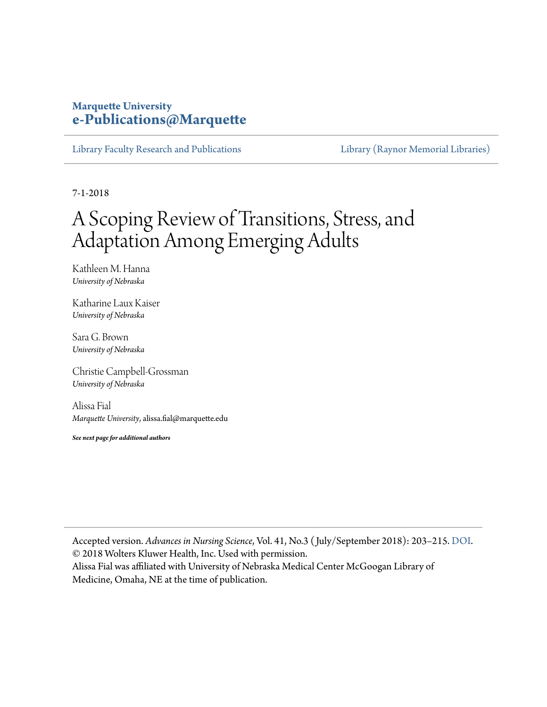# **Marquette University [e-Publications@Marquette](https://epublications.marquette.edu/)**

[Library Faculty Research and Publications](https://epublications.marquette.edu/lib_fac) [Library \(Raynor Memorial Libraries\)](https://epublications.marquette.edu/library)

7-1-2018

# A Scoping Review of Transitions, Stress, and Adaptation Among Emerging Adults

Kathleen M. Hanna *University of Nebraska*

Katharine Laux Kaiser *University of Nebraska*

Sara G. Brown *University of Nebraska*

Christie Campbell-Grossman *University of Nebraska*

Alissa Fial *Marquette University*, alissa.fial@marquette.edu

*See next page for additional authors*

Accepted version. *Advances in Nursing Science*, Vol. 41, No.3 ( July/September 2018): 203–215. [DOI](http://dx.doi.org/10.1097/ANS.0000000000000214). © 2018 Wolters Kluwer Health, Inc. Used with permission. Alissa Fial was affiliated with University of Nebraska Medical Center McGoogan Library of Medicine, Omaha, NE at the time of publication.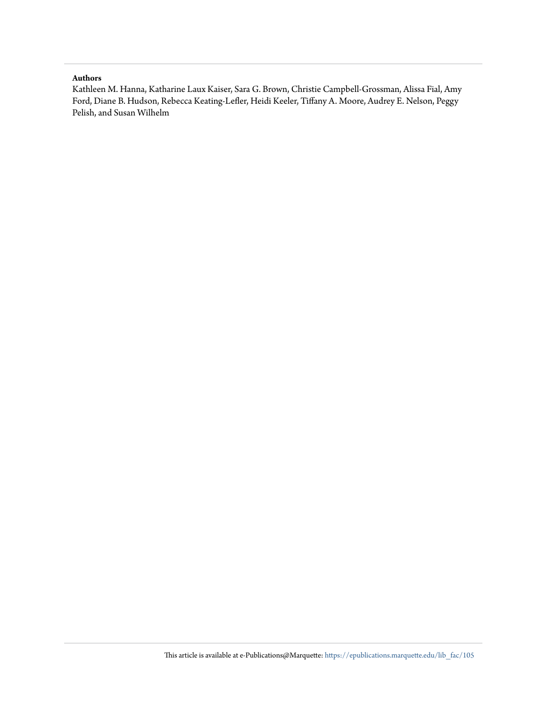#### **Authors**

Kathleen M. Hanna, Katharine Laux Kaiser, Sara G. Brown, Christie Campbell-Grossman, Alissa Fial, Amy Ford, Diane B. Hudson, Rebecca Keating-Lefler, Heidi Keeler, Tiffany A. Moore, Audrey E. Nelson, Peggy Pelish, and Susan Wilhelm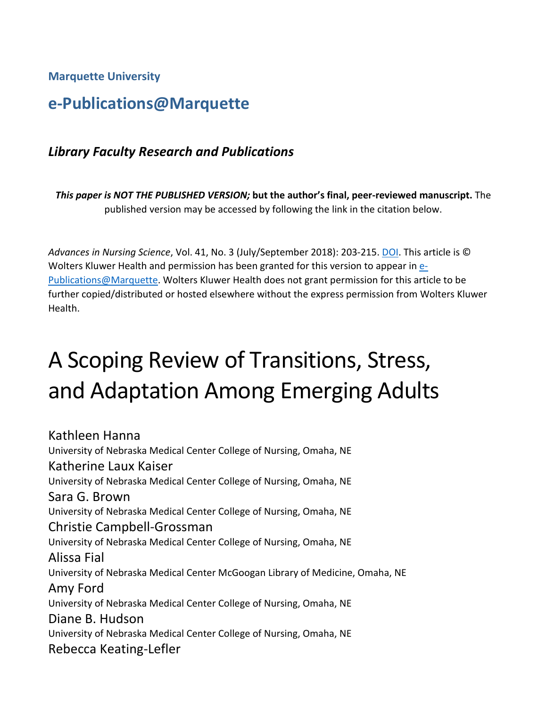**Marquette University**

# **e-Publications@Marquette**

# *Library Faculty Research and Publications*

*This paper is NOT THE PUBLISHED VERSION;* **but the author's final, peer-reviewed manuscript.** The published version may be accessed by following the link in the citation below.

*Advances in Nursing Science*, Vol. 41, No. 3 (July/September 2018): 203-215[. DOI.](https://doi.org/10.1097/ANS.0000000000000214) This article is © Wolters Kluwer Health and permission has been granted for this version to appear in [e-](http://epublications.marquette.edu/)[Publications@Marquette.](http://epublications.marquette.edu/) Wolters Kluwer Health does not grant permission for this article to be further copied/distributed or hosted elsewhere without the express permission from Wolters Kluwer Health.

# A Scoping Review of Transitions, Stress, and Adaptation Among Emerging Adults

Kathleen Hanna University of Nebraska Medical Center College of Nursing, Omaha, NE Katherine Laux Kaiser University of Nebraska Medical Center College of Nursing, Omaha, NE Sara G. Brown University of Nebraska Medical Center College of Nursing, Omaha, NE Christie Campbell-Grossman University of Nebraska Medical Center College of Nursing, Omaha, NE Alissa Fial University of Nebraska Medical Center McGoogan Library of Medicine, Omaha, NE Amy Ford University of Nebraska Medical Center College of Nursing, Omaha, NE Diane B. Hudson University of Nebraska Medical Center College of Nursing, Omaha, NE Rebecca Keating-Lefler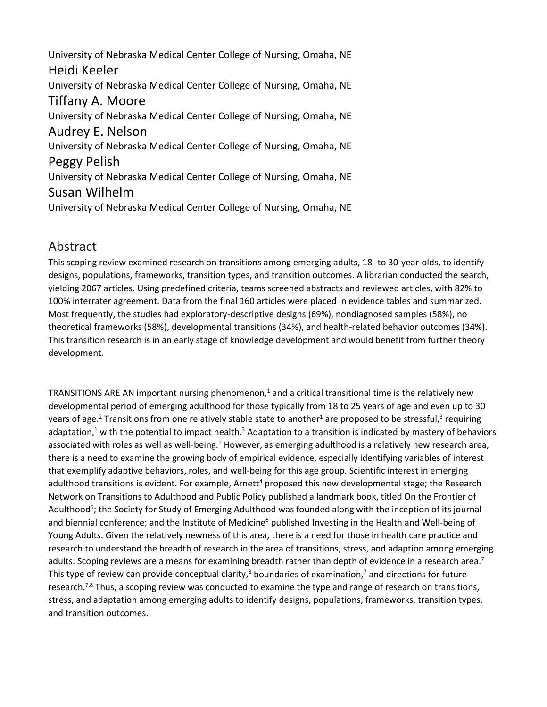University of Nebraska Medical Center College of Nursing, Omaha, NE Heidi Keeler University of Nebraska Medical Center College of Nursing, Omaha, NE Tiffany A. Moore University of Nebraska Medical Center College of Nursing, Omaha, NE Audrey E. Nelson University of Nebraska Medical Center College of Nursing, Omaha, NE Peggy Pelish University of Nebraska Medical Center College of Nursing, Omaha, NE Susan Wilhelm University of Nebraska Medical Center College of Nursing, Omaha, NE

# Abstract

This scoping review examined research on transitions among emerging adults, 18- to 30-year-olds, to identify designs, populations, frameworks, transition types, and transition outcomes. A librarian conducted the search, yielding 2067 articles. Using predefined criteria, teams screened abstracts and reviewed articles, with 82% to 100% interrater agreement. Data from the final 160 articles were placed in evidence tables and summarized. Most frequently, the studies had exploratory-descriptive designs (69%), nondiagnosed samples (58%), no theoretical frameworks (58%), developmental transitions (34%), and health-related behavior outcomes (34%). This transition research is in an early stage of knowledge development and would benefit from further theory development.

TRANSITIONS ARE AN important nursing phenomenon, $1$  and a critical transitional time is the relatively new developmental period of emerging adulthood for those typically from 18 to 25 years of age and even up to 30 years of age.<sup>2</sup> Transitions from one relatively stable state to another<sup>1</sup> are proposed to be stressful,<sup>3</sup> requiring adaptation, $1$  with the potential to impact health. $3$  Adaptation to a transition is indicated by mastery of behaviors associated with roles as well as well-being.<sup>1</sup> However, as emerging adulthood is a relatively new research area, there is a need to examine the growing body of empirical evidence, especially identifying variables of interest that exemplify adaptive behaviors, roles, and well-being for this age group. Scientific interest in emerging adulthood transitions is evident. For example, Arnett<sup>4</sup> proposed this new developmental stage; the Research Network on Transitions to Adulthood and Public Policy published a landmark book, titled On the Frontier of Adulthood<sup>5</sup>; the Society for Study of Emerging Adulthood was founded along with the inception of its journal and biennial conference; and the Institute of Medicine<sup>6</sup> published Investing in the Health and Well-being of Young Adults. Given the relatively newness of this area, there is a need for those in health care practice and research to understand the breadth of research in the area of transitions, stress, and adaption among emerging adults. Scoping reviews are a means for examining breadth rather than depth of evidence in a research area.<sup>7</sup> This type of review can provide conceptual clarity,<sup>8</sup> boundaries of examination,<sup>7</sup> and directions for future research.<sup>7,8</sup> Thus, a scoping review was conducted to examine the type and range of research on transitions, stress, and adaptation among emerging adults to identify designs, populations, frameworks, transition types, and transition outcomes.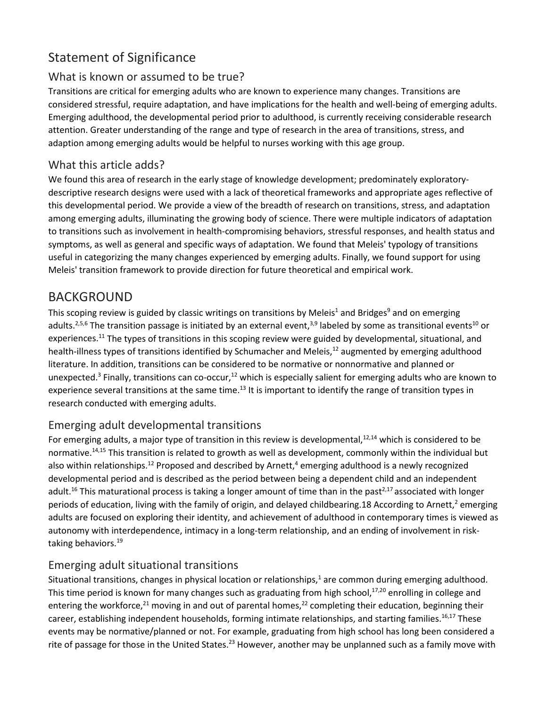# Statement of Significance

# What is known or assumed to be true?

Transitions are critical for emerging adults who are known to experience many changes. Transitions are considered stressful, require adaptation, and have implications for the health and well-being of emerging adults. Emerging adulthood, the developmental period prior to adulthood, is currently receiving considerable research attention. Greater understanding of the range and type of research in the area of transitions, stress, and adaption among emerging adults would be helpful to nurses working with this age group.

# What this article adds?

We found this area of research in the early stage of knowledge development; predominately exploratorydescriptive research designs were used with a lack of theoretical frameworks and appropriate ages reflective of this developmental period. We provide a view of the breadth of research on transitions, stress, and adaptation among emerging adults, illuminating the growing body of science. There were multiple indicators of adaptation to transitions such as involvement in health-compromising behaviors, stressful responses, and health status and symptoms, as well as general and specific ways of adaptation. We found that Meleis' typology of transitions useful in categorizing the many changes experienced by emerging adults. Finally, we found support for using Meleis' transition framework to provide direction for future theoretical and empirical work.

# BACKGROUND

This scoping review is guided by classic writings on transitions by Meleis<sup>1</sup> and Bridges<sup>9</sup> and on emerging adults.<sup>2,5,6</sup> The transition passage is initiated by an external event,<sup>3,9</sup> labeled by some as transitional events<sup>10</sup> or experiences.<sup>11</sup> The types of transitions in this scoping review were guided by developmental, situational, and health-illness types of transitions identified by Schumacher and Meleis,<sup>12</sup> augmented by emerging adulthood literature. In addition, transitions can be considered to be normative or nonnormative and planned or unexpected.<sup>3</sup> Finally, transitions can co-occur,<sup>12</sup> which is especially salient for emerging adults who are known to experience several transitions at the same time.<sup>13</sup> It is important to identify the range of transition types in research conducted with emerging adults.

# Emerging adult developmental transitions

For emerging adults, a major type of transition in this review is developmental, $12,14$  which is considered to be normative.14,15 This transition is related to growth as well as development, commonly within the individual but also within relationships.<sup>12</sup> Proposed and described by Arnett,<sup>4</sup> emerging adulthood is a newly recognized developmental period and is described as the period between being a dependent child and an independent adult.<sup>16</sup> This maturational process is taking a longer amount of time than in the past<sup>2,17</sup> associated with longer periods of education, living with the family of origin, and delayed childbearing.18 According to Arnett,<sup>2</sup> emerging adults are focused on exploring their identity, and achievement of adulthood in contemporary times is viewed as autonomy with interdependence, intimacy in a long-term relationship, and an ending of involvement in risktaking behaviors.<sup>19</sup>

# Emerging adult situational transitions

Situational transitions, changes in physical location or relationships, $1$  are common during emerging adulthood. This time period is known for many changes such as graduating from high school,<sup>17,20</sup> enrolling in college and entering the workforce,<sup>21</sup> moving in and out of parental homes,<sup>22</sup> completing their education, beginning their career, establishing independent households, forming intimate relationships, and starting families.<sup>16,17</sup> These events may be normative/planned or not. For example, graduating from high school has long been considered a rite of passage for those in the United States.<sup>23</sup> However, another may be unplanned such as a family move with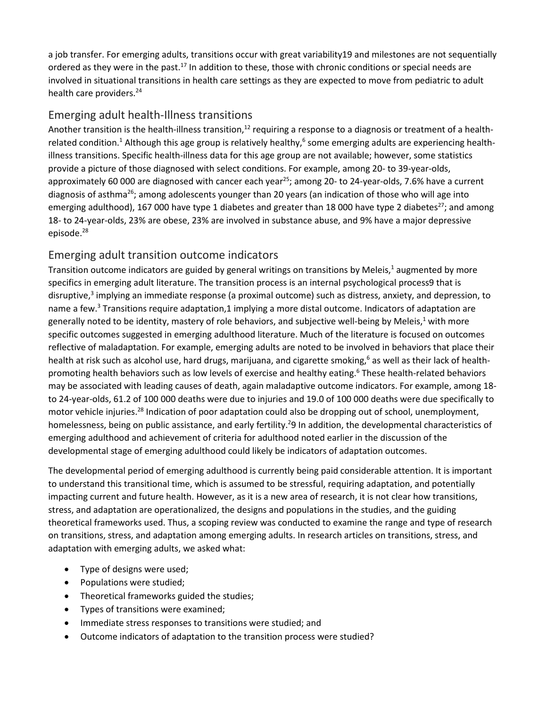a job transfer. For emerging adults, transitions occur with great variability19 and milestones are not sequentially ordered as they were in the past.<sup>17</sup> In addition to these, those with chronic conditions or special needs are involved in situational transitions in health care settings as they are expected to move from pediatric to adult health care providers.<sup>24</sup>

#### Emerging adult health-Illness transitions

Another transition is the health-illness transition,<sup>12</sup> requiring a response to a diagnosis or treatment of a healthrelated condition.<sup>1</sup> Although this age group is relatively healthy,<sup>6</sup> some emerging adults are experiencing healthillness transitions. Specific health-illness data for this age group are not available; however, some statistics provide a picture of those diagnosed with select conditions. For example, among 20- to 39-year-olds, approximately 60 000 are diagnosed with cancer each year<sup>25</sup>; among 20- to 24-year-olds, 7.6% have a current diagnosis of asthma<sup>26</sup>; among adolescents younger than 20 years (an indication of those who will age into emerging adulthood), 167 000 have type 1 diabetes and greater than 18 000 have type 2 diabetes<sup>27</sup>; and among 18- to 24-year-olds, 23% are obese, 23% are involved in substance abuse, and 9% have a major depressive episode.<sup>28</sup>

## Emerging adult transition outcome indicators

Transition outcome indicators are guided by general writings on transitions by Meleis, $<sup>1</sup>$  augmented by more</sup> specifics in emerging adult literature. The transition process is an internal psychological process9 that is disruptive,<sup>3</sup> implying an immediate response (a proximal outcome) such as distress, anxiety, and depression, to name a few.<sup>3</sup> Transitions require adaptation,1 implying a more distal outcome. Indicators of adaptation are generally noted to be identity, mastery of role behaviors, and subjective well-being by Meleis,<sup>1</sup> with more specific outcomes suggested in emerging adulthood literature. Much of the literature is focused on outcomes reflective of maladaptation. For example, emerging adults are noted to be involved in behaviors that place their health at risk such as alcohol use, hard drugs, marijuana, and cigarette smoking,<sup>6</sup> as well as their lack of healthpromoting health behaviors such as low levels of exercise and healthy eating.<sup>6</sup> These health-related behaviors may be associated with leading causes of death, again maladaptive outcome indicators. For example, among 18 to 24-year-olds, 61.2 of 100 000 deaths were due to injuries and 19.0 of 100 000 deaths were due specifically to motor vehicle injuries.28 Indication of poor adaptation could also be dropping out of school, unemployment, homelessness, being on public assistance, and early fertility.<sup>2</sup>9 In addition, the developmental characteristics of emerging adulthood and achievement of criteria for adulthood noted earlier in the discussion of the developmental stage of emerging adulthood could likely be indicators of adaptation outcomes.

The developmental period of emerging adulthood is currently being paid considerable attention. It is important to understand this transitional time, which is assumed to be stressful, requiring adaptation, and potentially impacting current and future health. However, as it is a new area of research, it is not clear how transitions, stress, and adaptation are operationalized, the designs and populations in the studies, and the guiding theoretical frameworks used. Thus, a scoping review was conducted to examine the range and type of research on transitions, stress, and adaptation among emerging adults. In research articles on transitions, stress, and adaptation with emerging adults, we asked what:

- Type of designs were used;
- Populations were studied;
- Theoretical frameworks guided the studies;
- Types of transitions were examined;
- Immediate stress responses to transitions were studied; and
- Outcome indicators of adaptation to the transition process were studied?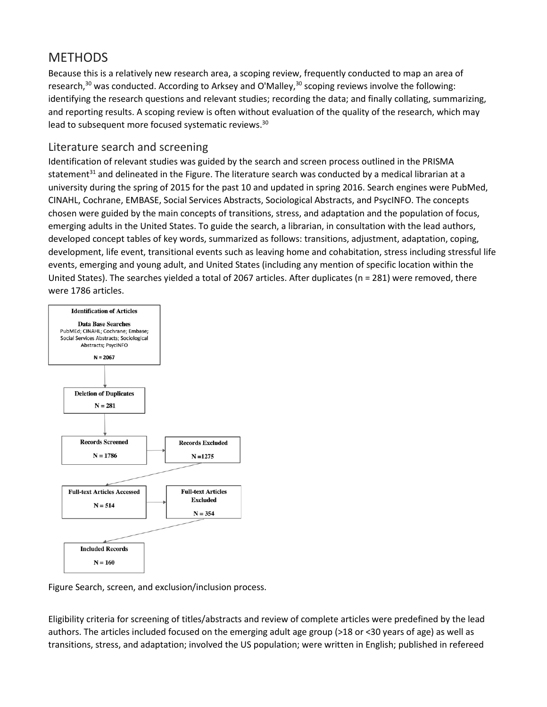# METHODS

Because this is a relatively new research area, a scoping review, frequently conducted to map an area of research, $30$  was conducted. According to Arksey and O'Malley, $30$  scoping reviews involve the following: identifying the research questions and relevant studies; recording the data; and finally collating, summarizing, and reporting results. A scoping review is often without evaluation of the quality of the research, which may lead to subsequent more focused systematic reviews.<sup>30</sup>

### Literature search and screening

Identification of relevant studies was guided by the search and screen process outlined in the PRISMA statement<sup>31</sup> and delineated in the Figure. The literature search was conducted by a medical librarian at a university during the spring of 2015 for the past 10 and updated in spring 2016. Search engines were PubMed, CINAHL, Cochrane, EMBASE, Social Services Abstracts, Sociological Abstracts, and PsycINFO. The concepts chosen were guided by the main concepts of transitions, stress, and adaptation and the population of focus, emerging adults in the United States. To guide the search, a librarian, in consultation with the lead authors, developed concept tables of key words, summarized as follows: transitions, adjustment, adaptation, coping, development, life event, transitional events such as leaving home and cohabitation, stress including stressful life events, emerging and young adult, and United States (including any mention of specific location within the United States). The searches yielded a total of 2067 articles. After duplicates (n = 281) were removed, there were 1786 articles.



Figure Search, screen, and exclusion/inclusion process.

Eligibility criteria for screening of titles/abstracts and review of complete articles were predefined by the lead authors. The articles included focused on the emerging adult age group (>18 or <30 years of age) as well as transitions, stress, and adaptation; involved the US population; were written in English; published in refereed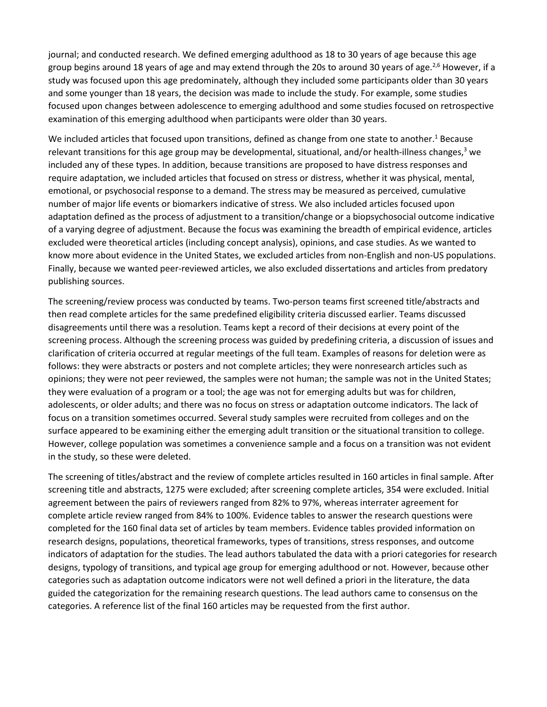journal; and conducted research. We defined emerging adulthood as 18 to 30 years of age because this age group begins around 18 years of age and may extend through the 20s to around 30 years of age.<sup>2,6</sup> However, if a study was focused upon this age predominately, although they included some participants older than 30 years and some younger than 18 years, the decision was made to include the study. For example, some studies focused upon changes between adolescence to emerging adulthood and some studies focused on retrospective examination of this emerging adulthood when participants were older than 30 years.

We included articles that focused upon transitions, defined as change from one state to another.<sup>1</sup> Because relevant transitions for this age group may be developmental, situational, and/or health-illness changes,<sup>3</sup> we included any of these types. In addition, because transitions are proposed to have distress responses and require adaptation, we included articles that focused on stress or distress, whether it was physical, mental, emotional, or psychosocial response to a demand. The stress may be measured as perceived, cumulative number of major life events or biomarkers indicative of stress. We also included articles focused upon adaptation defined as the process of adjustment to a transition/change or a biopsychosocial outcome indicative of a varying degree of adjustment. Because the focus was examining the breadth of empirical evidence, articles excluded were theoretical articles (including concept analysis), opinions, and case studies. As we wanted to know more about evidence in the United States, we excluded articles from non-English and non-US populations. Finally, because we wanted peer-reviewed articles, we also excluded dissertations and articles from predatory publishing sources.

The screening/review process was conducted by teams. Two-person teams first screened title/abstracts and then read complete articles for the same predefined eligibility criteria discussed earlier. Teams discussed disagreements until there was a resolution. Teams kept a record of their decisions at every point of the screening process. Although the screening process was guided by predefining criteria, a discussion of issues and clarification of criteria occurred at regular meetings of the full team. Examples of reasons for deletion were as follows: they were abstracts or posters and not complete articles; they were nonresearch articles such as opinions; they were not peer reviewed, the samples were not human; the sample was not in the United States; they were evaluation of a program or a tool; the age was not for emerging adults but was for children, adolescents, or older adults; and there was no focus on stress or adaptation outcome indicators. The lack of focus on a transition sometimes occurred. Several study samples were recruited from colleges and on the surface appeared to be examining either the emerging adult transition or the situational transition to college. However, college population was sometimes a convenience sample and a focus on a transition was not evident in the study, so these were deleted.

The screening of titles/abstract and the review of complete articles resulted in 160 articles in final sample. After screening title and abstracts, 1275 were excluded; after screening complete articles, 354 were excluded. Initial agreement between the pairs of reviewers ranged from 82% to 97%, whereas interrater agreement for complete article review ranged from 84% to 100%. Evidence tables to answer the research questions were completed for the 160 final data set of articles by team members. Evidence tables provided information on research designs, populations, theoretical frameworks, types of transitions, stress responses, and outcome indicators of adaptation for the studies. The lead authors tabulated the data with a priori categories for research designs, typology of transitions, and typical age group for emerging adulthood or not. However, because other categories such as adaptation outcome indicators were not well defined a priori in the literature, the data guided the categorization for the remaining research questions. The lead authors came to consensus on the categories. A reference list of the final 160 articles may be requested from the first author.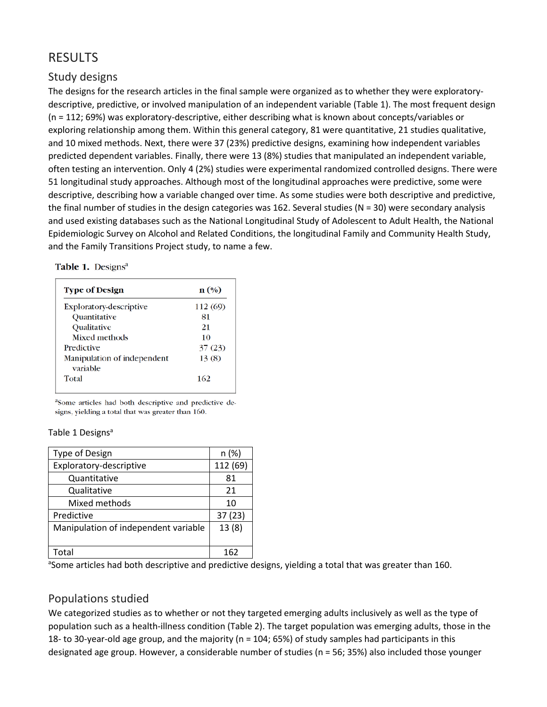# RESULTS

## Study designs

The designs for the research articles in the final sample were organized as to whether they were exploratorydescriptive, predictive, or involved manipulation of an independent variable (Table 1). The most frequent design (n = 112; 69%) was exploratory-descriptive, either describing what is known about concepts/variables or exploring relationship among them. Within this general category, 81 were quantitative, 21 studies qualitative, and 10 mixed methods. Next, there were 37 (23%) predictive designs, examining how independent variables predicted dependent variables. Finally, there were 13 (8%) studies that manipulated an independent variable, often testing an intervention. Only 4 (2%) studies were experimental randomized controlled designs. There were 51 longitudinal study approaches. Although most of the longitudinal approaches were predictive, some were descriptive, describing how a variable changed over time. As some studies were both descriptive and predictive, the final number of studies in the design categories was 162. Several studies (N = 30) were secondary analysis and used existing databases such as the National Longitudinal Study of Adolescent to Adult Health, the National Epidemiologic Survey on Alcohol and Related Conditions, the longitudinal Family and Community Health Study, and the Family Transitions Project study, to name a few.

|  |  | <b>Table 1.</b> Designs <sup>a</sup> |
|--|--|--------------------------------------|
|--|--|--------------------------------------|

| <b>Type of Design</b>                   | $\mathbf{n}(\%)$ |
|-----------------------------------------|------------------|
| Exploratory-descriptive                 | 112 (69)         |
| Quantitative                            | 81               |
| Qualitative                             | 21               |
| Mixed methods                           | 10               |
| Predictive                              | 37 (23)          |
| Manipulation of independent<br>variable | 13 (8)           |
| Total                                   | 162              |

<sup>a</sup>Some articles had both descriptive and predictive designs, yielding a total that was greater than 160.

#### Table 1 Designs<sup>a</sup>

| Type of Design                       | n (%)    |
|--------------------------------------|----------|
| Exploratory-descriptive              | 112 (69) |
| Quantitative                         | 81       |
| Qualitative                          | 21       |
| Mixed methods                        | 10       |
| Predictive                           | 37(23)   |
| Manipulation of independent variable | 13(8)    |
|                                      |          |
| Total                                |          |

<sup>a</sup>Some articles had both descriptive and predictive designs, yielding a total that was greater than 160.

### Populations studied

We categorized studies as to whether or not they targeted emerging adults inclusively as well as the type of population such as a health-illness condition (Table 2). The target population was emerging adults, those in the 18- to 30-year-old age group, and the majority (n = 104; 65%) of study samples had participants in this designated age group. However, a considerable number of studies (n = 56; 35%) also included those younger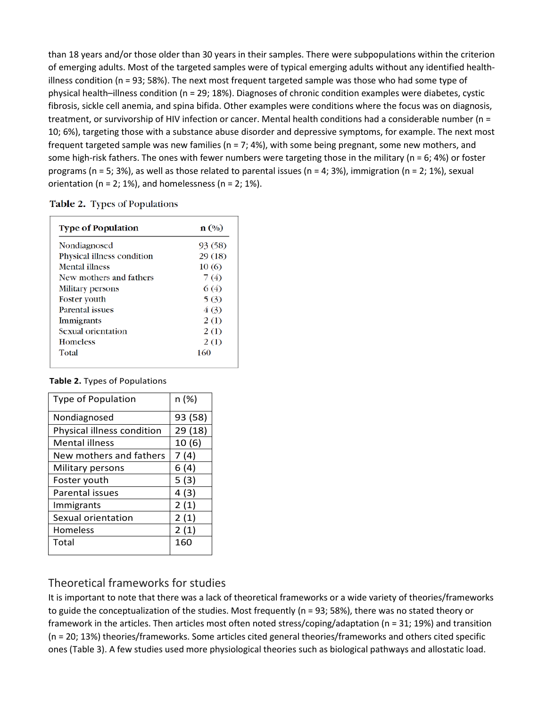than 18 years and/or those older than 30 years in their samples. There were subpopulations within the criterion of emerging adults. Most of the targeted samples were of typical emerging adults without any identified healthillness condition (n = 93; 58%). The next most frequent targeted sample was those who had some type of physical health–illness condition (n = 29; 18%). Diagnoses of chronic condition examples were diabetes, cystic fibrosis, sickle cell anemia, and spina bifida. Other examples were conditions where the focus was on diagnosis, treatment, or survivorship of HIV infection or cancer. Mental health conditions had a considerable number (n = 10; 6%), targeting those with a substance abuse disorder and depressive symptoms, for example. The next most frequent targeted sample was new families ( $n = 7$ ; 4%), with some being pregnant, some new mothers, and some high-risk fathers. The ones with fewer numbers were targeting those in the military (n = 6; 4%) or foster programs (n = 5; 3%), as well as those related to parental issues (n = 4; 3%), immigration (n = 2; 1%), sexual orientation ( $n = 2$ ; 1%), and homelessness ( $n = 2$ ; 1%).

|  | Table 2. Types of Populations |  |
|--|-------------------------------|--|
|--|-------------------------------|--|

| <b>Type of Population</b>  | $n \left(\frac{0}{0}\right)$ |
|----------------------------|------------------------------|
| Nondiagnosed               | 93 (58)                      |
| Physical illness condition | 29 (18)                      |
| <b>Mental illness</b>      | 10(6)                        |
| New mothers and fathers    | 7 <sup>(4)</sup>             |
| Military persons           | 6(4)                         |
| Foster youth               | 5 (3)                        |
| Parental issues            | 4 <sub>(3)</sub>             |
| Immigrants                 | 2(1)                         |
| Sexual orientation         | 2(1)                         |
| <b>Homeless</b>            | 2(1)                         |
| Total                      | 160                          |

**Table 2.** Types of Populations

| <b>Type of Population</b>  | n (%)   |
|----------------------------|---------|
| Nondiagnosed               | 93 (58) |
| Physical illness condition | 29 (18) |
| <b>Mental illness</b>      | 10(6)   |
| New mothers and fathers    | 7(4)    |
| Military persons           | 6(4)    |
| Foster youth               | 5(3)    |
| Parental issues            | 4(3)    |
| Immigrants                 | 2(1)    |
| Sexual orientation         | 2(1)    |
| Homeless                   | 2(1)    |
| Total                      | 160     |
|                            |         |

# Theoretical frameworks for studies

It is important to note that there was a lack of theoretical frameworks or a wide variety of theories/frameworks to guide the conceptualization of the studies. Most frequently (n = 93; 58%), there was no stated theory or framework in the articles. Then articles most often noted stress/coping/adaptation (n = 31; 19%) and transition (n = 20; 13%) theories/frameworks. Some articles cited general theories/frameworks and others cited specific ones (Table 3). A few studies used more physiological theories such as biological pathways and allostatic load.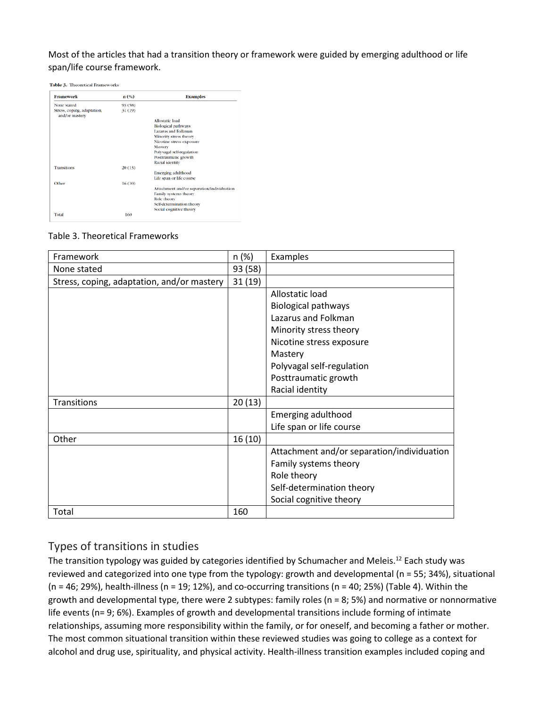Most of the articles that had a transition theory or framework were guided by emerging adulthood or life span/life course framework.

| Table 3. Theoretical Frameworks |
|---------------------------------|
|---------------------------------|

| Framework                                     | n (%)   | <b>Examples</b>                            |
|-----------------------------------------------|---------|--------------------------------------------|
| None stated                                   | 93 (58) |                                            |
| Stress, coping, adaptation,<br>and/or mastery | 31 (19) |                                            |
|                                               |         | Allostatic load                            |
|                                               |         | <b>Biological pathways</b>                 |
|                                               |         | <b>Lazarus and Folkman</b>                 |
|                                               |         | Minority stress theory                     |
|                                               |         | Nicotine stress exposure                   |
|                                               |         | Mastery                                    |
|                                               |         | Polyvagal self-regulation                  |
|                                               |         | Posttraumatic growth                       |
|                                               |         | Racial identity                            |
| <b>Transitions</b>                            | 20(13)  |                                            |
|                                               |         | Emerging adulthood                         |
|                                               |         | Life span or life course                   |
| Other                                         | 16 (10) |                                            |
|                                               |         | Attachment and/or separation/individuation |
|                                               |         | Family systems theory                      |
|                                               |         | Role theory                                |
|                                               |         | Self-determination theory                  |
|                                               |         | Social cognitive theory                    |
| Total                                         | 160     |                                            |

Table 3. Theoretical Frameworks

| Framework                                  | n (%)   | Examples                                   |
|--------------------------------------------|---------|--------------------------------------------|
| None stated                                | 93 (58) |                                            |
| Stress, coping, adaptation, and/or mastery | 31(19)  |                                            |
|                                            |         | Allostatic load                            |
|                                            |         | <b>Biological pathways</b>                 |
|                                            |         | Lazarus and Folkman                        |
|                                            |         | Minority stress theory                     |
|                                            |         | Nicotine stress exposure                   |
|                                            |         | Mastery                                    |
|                                            |         | Polyvagal self-regulation                  |
|                                            |         | Posttraumatic growth                       |
|                                            |         | Racial identity                            |
| Transitions                                | 20(13)  |                                            |
|                                            |         | <b>Emerging adulthood</b>                  |
|                                            |         | Life span or life course                   |
| Other                                      | 16(10)  |                                            |
|                                            |         | Attachment and/or separation/individuation |
|                                            |         | Family systems theory                      |
|                                            |         | Role theory                                |
|                                            |         | Self-determination theory                  |
|                                            |         | Social cognitive theory                    |
| Total                                      | 160     |                                            |

# Types of transitions in studies

The transition typology was guided by categories identified by Schumacher and Meleis.<sup>12</sup> Each study was reviewed and categorized into one type from the typology: growth and developmental (n = 55; 34%), situational (n = 46; 29%), health-illness (n = 19; 12%), and co-occurring transitions (n = 40; 25%) (Table 4). Within the growth and developmental type, there were 2 subtypes: family roles (n = 8; 5%) and normative or nonnormative life events (n= 9; 6%). Examples of growth and developmental transitions include forming of intimate relationships, assuming more responsibility within the family, or for oneself, and becoming a father or mother. The most common situational transition within these reviewed studies was going to college as a context for alcohol and drug use, spirituality, and physical activity. Health-illness transition examples included coping and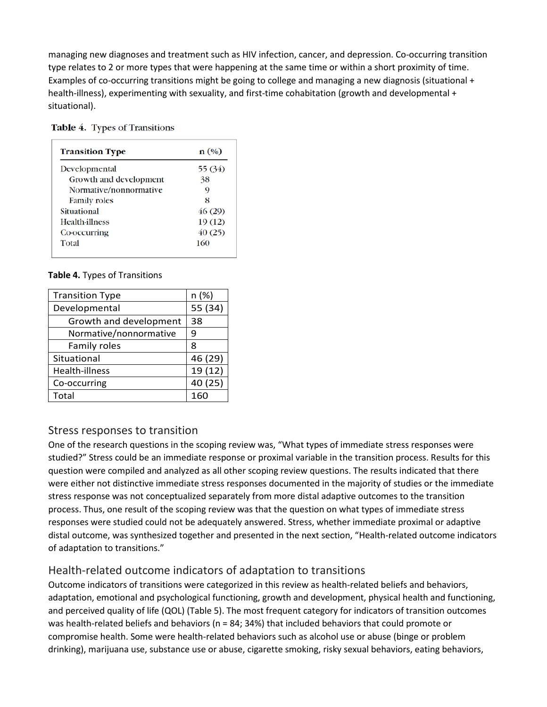managing new diagnoses and treatment such as HIV infection, cancer, and depression. Co-occurring transition type relates to 2 or more types that were happening at the same time or within a short proximity of time. Examples of co-occurring transitions might be going to college and managing a new diagnosis (situational + health-illness), experimenting with sexuality, and first-time cohabitation (growth and developmental + situational).

| Table 4. Types of Transitions |  |
|-------------------------------|--|
|-------------------------------|--|

| <b>Transition Type</b> | $n(^{0}/_{0})$ |
|------------------------|----------------|
| Developmental          | 55 (34)        |
| Growth and development | 38             |
| Normative/nonnormative | 9              |
| Family roles           | 8              |
| Situational            | 46 (29)        |
| Health-illness         | 19 (12)        |
| Co-occurring           | 40(25)         |
| Total                  | 160            |

#### **Table 4.** Types of Transitions

| <b>Transition Type</b> | n(%)    |
|------------------------|---------|
| Developmental          | 55 (34) |
| Growth and development | 38      |
| Normative/nonnormative | 9       |
| <b>Family roles</b>    | 8       |
| Situational            | 46 (29) |
| Health-illness         | 19 (12) |
| Co-occurring           | 40 (25) |
| Total                  | 160     |

#### Stress responses to transition

One of the research questions in the scoping review was, "What types of immediate stress responses were studied?" Stress could be an immediate response or proximal variable in the transition process. Results for this question were compiled and analyzed as all other scoping review questions. The results indicated that there were either not distinctive immediate stress responses documented in the majority of studies or the immediate stress response was not conceptualized separately from more distal adaptive outcomes to the transition process. Thus, one result of the scoping review was that the question on what types of immediate stress responses were studied could not be adequately answered. Stress, whether immediate proximal or adaptive distal outcome, was synthesized together and presented in the next section, "Health-related outcome indicators of adaptation to transitions."

### Health-related outcome indicators of adaptation to transitions

Outcome indicators of transitions were categorized in this review as health-related beliefs and behaviors, adaptation, emotional and psychological functioning, growth and development, physical health and functioning, and perceived quality of life (QOL) (Table 5). The most frequent category for indicators of transition outcomes was health-related beliefs and behaviors (n = 84; 34%) that included behaviors that could promote or compromise health. Some were health-related behaviors such as alcohol use or abuse (binge or problem drinking), marijuana use, substance use or abuse, cigarette smoking, risky sexual behaviors, eating behaviors,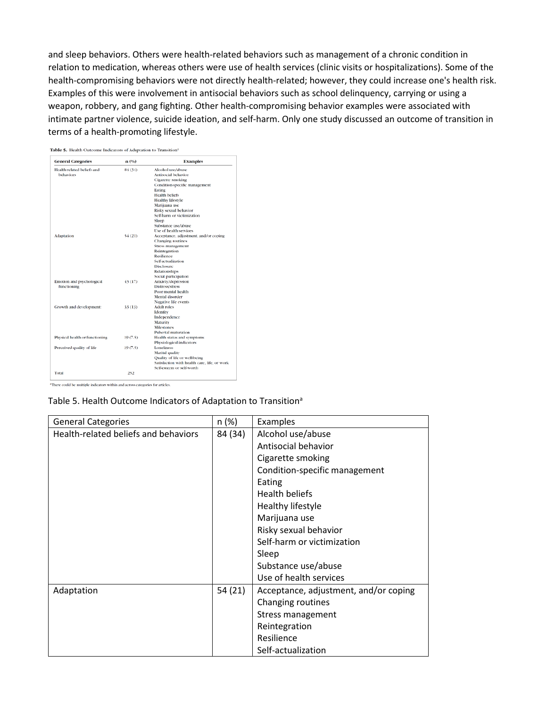and sleep behaviors. Others were health-related behaviors such as management of a chronic condition in relation to medication, whereas others were use of health services (clinic visits or hospitalizations). Some of the health-compromising behaviors were not directly health-related; however, they could increase one's health risk. Examples of this were involvement in antisocial behaviors such as school delinquency, carrying or using a weapon, robbery, and gang fighting. Other health-compromising behavior examples were associated with intimate partner violence, suicide ideation, and self-harm. Only one study discussed an outcome of transition in terms of a health-promoting lifestyle.

| Table 5. Health Outcome Indicators of Adaptation to Transition <sup>1</sup> |  |  |
|-----------------------------------------------------------------------------|--|--|

| <b>General Categories</b>      | n(%)    | <b>Examples</b>                              |
|--------------------------------|---------|----------------------------------------------|
| Health-related beliefs and     | 84(34)  | Alcohol use/abuse                            |
| behaviors                      |         | Antisocial behavior                          |
|                                |         | <b>Cigarette</b> smoking                     |
|                                |         | Condition-specific management                |
|                                |         | Eating                                       |
|                                |         | <b>Health beliefs</b>                        |
|                                |         | <b>Healthy lifestyle</b>                     |
|                                |         | Marijuana use                                |
|                                |         | Risky sexual behavior                        |
|                                |         | Self-harm or victimization                   |
|                                |         | Sleep                                        |
|                                |         | Substance use/abuse                          |
|                                |         | Use of health services                       |
| Adaptation                     | 54 (21) | Acceptance, adjustment, and/or coping        |
|                                |         | Changing routines                            |
|                                |         | <b>Stress management</b>                     |
|                                |         | Reintegration                                |
|                                |         | Resilience                                   |
|                                |         | Self-actualization                           |
|                                |         | Disclosure                                   |
|                                |         | <b>Relationships</b>                         |
|                                |         | Social participation                         |
| Emotion and psychological      | 43 (17) | Anxiety/depression                           |
| functioning                    |         | Distress/stress                              |
|                                |         | Poor mental health                           |
|                                |         | Mental disorder                              |
|                                |         | Negative life events                         |
| Growth and development:        | 33 (13) | <b>Adult roles</b>                           |
|                                |         | Identity                                     |
|                                |         | Independence                                 |
|                                |         | Maturity                                     |
|                                |         | <b>Milestones</b>                            |
|                                |         | Pubertal maturation                          |
| Physical health or functioning | 19(7.5) | Health status and symptoms                   |
|                                |         | Physiological indicators                     |
| Perceived quality of life      | 19(7.5) | Loneliness                                   |
|                                |         | Marital quality                              |
|                                |         | Quality of life or well-being                |
|                                |         | Satisfaction with health care, life, or work |
|                                |         | Self-esteem or self-worth                    |
| Total                          | 252     |                                              |
|                                |         |                                              |

<sup>2</sup>There could be multiple indicators within and across categories for articles.

Table 5. Health Outcome Indicators of Adaptation to Transition<sup>a</sup>

| <b>General Categories</b>            | n (%)   | Examples                              |
|--------------------------------------|---------|---------------------------------------|
| Health-related beliefs and behaviors | 84 (34) | Alcohol use/abuse                     |
|                                      |         | Antisocial behavior                   |
|                                      |         | Cigarette smoking                     |
|                                      |         | Condition-specific management         |
|                                      |         | Eating                                |
|                                      |         | <b>Health beliefs</b>                 |
|                                      |         | Healthy lifestyle                     |
|                                      |         | Marijuana use                         |
|                                      |         | Risky sexual behavior                 |
|                                      |         | Self-harm or victimization            |
|                                      |         | Sleep                                 |
|                                      |         | Substance use/abuse                   |
|                                      |         | Use of health services                |
| Adaptation                           | 54 (21) | Acceptance, adjustment, and/or coping |
|                                      |         | Changing routines                     |
|                                      |         | <b>Stress management</b>              |
|                                      |         | Reintegration                         |
|                                      |         | Resilience                            |
|                                      |         | Self-actualization                    |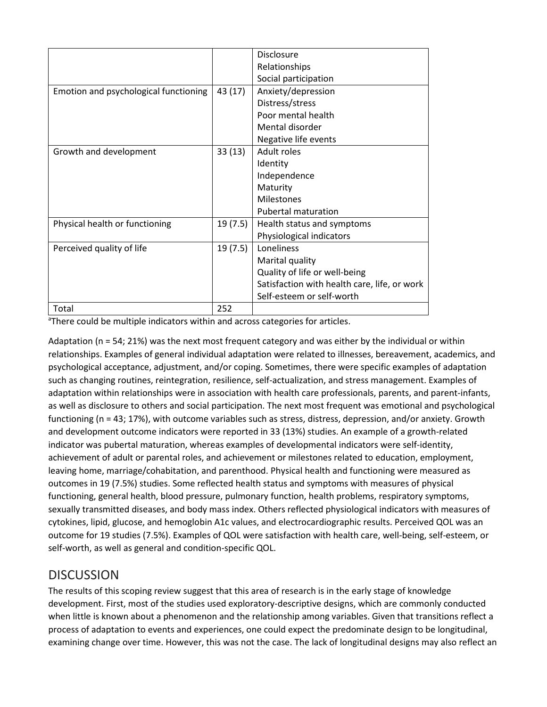|                                       |          | <b>Disclosure</b>                            |
|---------------------------------------|----------|----------------------------------------------|
|                                       |          | Relationships                                |
|                                       |          | Social participation                         |
| Emotion and psychological functioning | 43 (17)  | Anxiety/depression                           |
|                                       |          | Distress/stress                              |
|                                       |          | Poor mental health                           |
|                                       |          | Mental disorder                              |
|                                       |          | Negative life events                         |
| Growth and development                | 33(13)   | Adult roles                                  |
|                                       |          | Identity                                     |
|                                       |          | Independence                                 |
|                                       |          | Maturity                                     |
|                                       |          | Milestones                                   |
|                                       |          | <b>Pubertal maturation</b>                   |
| Physical health or functioning        | 19(7.5)  | Health status and symptoms                   |
|                                       |          | Physiological indicators                     |
| Perceived quality of life             | 19 (7.5) | Loneliness                                   |
|                                       |          | Marital quality                              |
|                                       |          | Quality of life or well-being                |
|                                       |          | Satisfaction with health care, life, or work |
|                                       |          | Self-esteem or self-worth                    |
| Total                                 | 252      |                                              |

<sup>a</sup>There could be multiple indicators within and across categories for articles.

Adaptation (n = 54; 21%) was the next most frequent category and was either by the individual or within relationships. Examples of general individual adaptation were related to illnesses, bereavement, academics, and psychological acceptance, adjustment, and/or coping. Sometimes, there were specific examples of adaptation such as changing routines, reintegration, resilience, self-actualization, and stress management. Examples of adaptation within relationships were in association with health care professionals, parents, and parent-infants, as well as disclosure to others and social participation. The next most frequent was emotional and psychological functioning (n = 43; 17%), with outcome variables such as stress, distress, depression, and/or anxiety. Growth and development outcome indicators were reported in 33 (13%) studies. An example of a growth-related indicator was pubertal maturation, whereas examples of developmental indicators were self-identity, achievement of adult or parental roles, and achievement or milestones related to education, employment, leaving home, marriage/cohabitation, and parenthood. Physical health and functioning were measured as outcomes in 19 (7.5%) studies. Some reflected health status and symptoms with measures of physical functioning, general health, blood pressure, pulmonary function, health problems, respiratory symptoms, sexually transmitted diseases, and body mass index. Others reflected physiological indicators with measures of cytokines, lipid, glucose, and hemoglobin A1c values, and electrocardiographic results. Perceived QOL was an outcome for 19 studies (7.5%). Examples of QOL were satisfaction with health care, well-being, self-esteem, or self-worth, as well as general and condition-specific QOL.

# **DISCUSSION**

The results of this scoping review suggest that this area of research is in the early stage of knowledge development. First, most of the studies used exploratory-descriptive designs, which are commonly conducted when little is known about a phenomenon and the relationship among variables. Given that transitions reflect a process of adaptation to events and experiences, one could expect the predominate design to be longitudinal, examining change over time. However, this was not the case. The lack of longitudinal designs may also reflect an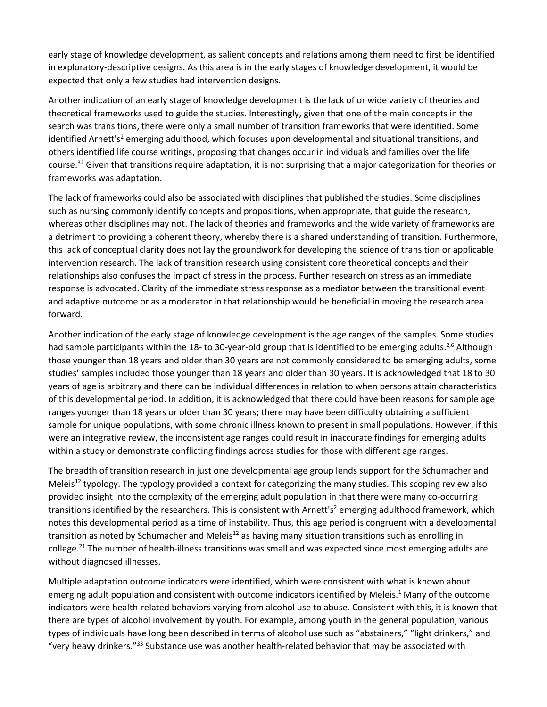early stage of knowledge development, as salient concepts and relations among them need to first be identified in exploratory-descriptive designs. As this area is in the early stages of knowledge development, it would be expected that only a few studies had intervention designs.

Another indication of an early stage of knowledge development is the lack of or wide variety of theories and theoretical frameworks used to guide the studies. Interestingly, given that one of the main concepts in the search was transitions, there were only a small number of transition frameworks that were identified. Some identified Arnett's<sup>2</sup> emerging adulthood, which focuses upon developmental and situational transitions, and others identified life course writings, proposing that changes occur in individuals and families over the life course.32 Given that transitions require adaptation, it is not surprising that a major categorization for theories or frameworks was adaptation.

The lack of frameworks could also be associated with disciplines that published the studies. Some disciplines such as nursing commonly identify concepts and propositions, when appropriate, that guide the research, whereas other disciplines may not. The lack of theories and frameworks and the wide variety of frameworks are a detriment to providing a coherent theory, whereby there is a shared understanding of transition. Furthermore, this lack of conceptual clarity does not lay the groundwork for developing the science of transition or applicable intervention research. The lack of transition research using consistent core theoretical concepts and their relationships also confuses the impact of stress in the process. Further research on stress as an immediate response is advocated. Clarity of the immediate stress response as a mediator between the transitional event and adaptive outcome or as a moderator in that relationship would be beneficial in moving the research area forward.

Another indication of the early stage of knowledge development is the age ranges of the samples. Some studies had sample participants within the 18- to 30-year-old group that is identified to be emerging adults.<sup>2,6</sup> Although those younger than 18 years and older than 30 years are not commonly considered to be emerging adults, some studies' samples included those younger than 18 years and older than 30 years. It is acknowledged that 18 to 30 years of age is arbitrary and there can be individual differences in relation to when persons attain characteristics of this developmental period. In addition, it is acknowledged that there could have been reasons for sample age ranges younger than 18 years or older than 30 years; there may have been difficulty obtaining a sufficient sample for unique populations, with some chronic illness known to present in small populations. However, if this were an integrative review, the inconsistent age ranges could result in inaccurate findings for emerging adults within a study or demonstrate conflicting findings across studies for those with different age ranges.

The breadth of transition research in just one developmental age group lends support for the Schumacher and Meleis<sup>12</sup> typology. The typology provided a context for categorizing the many studies. This scoping review also provided insight into the complexity of the emerging adult population in that there were many co-occurring transitions identified by the researchers. This is consistent with Arnett's<sup>2</sup> emerging adulthood framework, which notes this developmental period as a time of instability. Thus, this age period is congruent with a developmental transition as noted by Schumacher and Meleis<sup>12</sup> as having many situation transitions such as enrolling in college.<sup>21</sup> The number of health-illness transitions was small and was expected since most emerging adults are without diagnosed illnesses.

Multiple adaptation outcome indicators were identified, which were consistent with what is known about emerging adult population and consistent with outcome indicators identified by Meleis.<sup>1</sup> Many of the outcome indicators were health-related behaviors varying from alcohol use to abuse. Consistent with this, it is known that there are types of alcohol involvement by youth. For example, among youth in the general population, various types of individuals have long been described in terms of alcohol use such as "abstainers," "light drinkers," and "very heavy drinkers."33 Substance use was another health-related behavior that may be associated with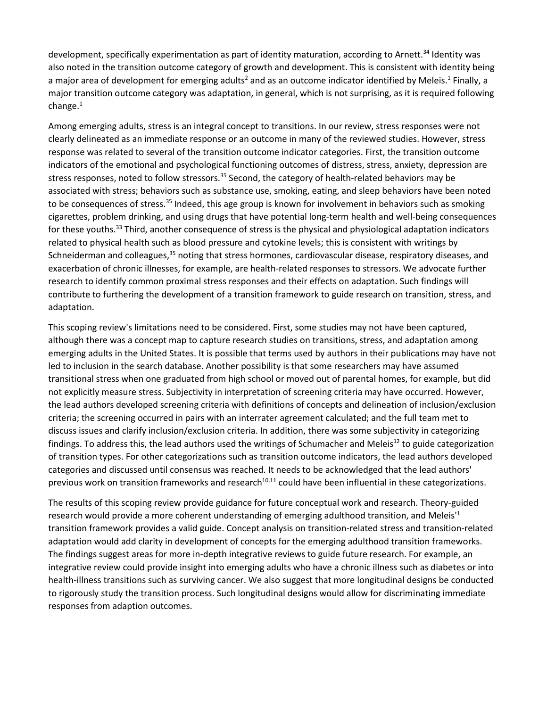development, specifically experimentation as part of identity maturation, according to Arnett.<sup>34</sup> Identity was also noted in the transition outcome category of growth and development. This is consistent with identity being a major area of development for emerging adults<sup>2</sup> and as an outcome indicator identified by Meleis.<sup>1</sup> Finally, a major transition outcome category was adaptation, in general, which is not surprising, as it is required following change.1

Among emerging adults, stress is an integral concept to transitions. In our review, stress responses were not clearly delineated as an immediate response or an outcome in many of the reviewed studies. However, stress response was related to several of the transition outcome indicator categories. First, the transition outcome indicators of the emotional and psychological functioning outcomes of distress, stress, anxiety, depression are stress responses, noted to follow stressors.<sup>35</sup> Second, the category of health-related behaviors may be associated with stress; behaviors such as substance use, smoking, eating, and sleep behaviors have been noted to be consequences of stress.<sup>35</sup> Indeed, this age group is known for involvement in behaviors such as smoking cigarettes, problem drinking, and using drugs that have potential long-term health and well-being consequences for these youths.<sup>33</sup> Third, another consequence of stress is the physical and physiological adaptation indicators related to physical health such as blood pressure and cytokine levels; this is consistent with writings by Schneiderman and colleagues,<sup>35</sup> noting that stress hormones, cardiovascular disease, respiratory diseases, and exacerbation of chronic illnesses, for example, are health-related responses to stressors. We advocate further research to identify common proximal stress responses and their effects on adaptation. Such findings will contribute to furthering the development of a transition framework to guide research on transition, stress, and adaptation.

This scoping review's limitations need to be considered. First, some studies may not have been captured, although there was a concept map to capture research studies on transitions, stress, and adaptation among emerging adults in the United States. It is possible that terms used by authors in their publications may have not led to inclusion in the search database. Another possibility is that some researchers may have assumed transitional stress when one graduated from high school or moved out of parental homes, for example, but did not explicitly measure stress. Subjectivity in interpretation of screening criteria may have occurred. However, the lead authors developed screening criteria with definitions of concepts and delineation of inclusion/exclusion criteria; the screening occurred in pairs with an interrater agreement calculated; and the full team met to discuss issues and clarify inclusion/exclusion criteria. In addition, there was some subjectivity in categorizing findings. To address this, the lead authors used the writings of Schumacher and Meleis<sup>12</sup> to guide categorization of transition types. For other categorizations such as transition outcome indicators, the lead authors developed categories and discussed until consensus was reached. It needs to be acknowledged that the lead authors' previous work on transition frameworks and research<sup>10,11</sup> could have been influential in these categorizations.

The results of this scoping review provide guidance for future conceptual work and research. Theory-guided research would provide a more coherent understanding of emerging adulthood transition, and Meleis<sup>11</sup> transition framework provides a valid guide. Concept analysis on transition-related stress and transition-related adaptation would add clarity in development of concepts for the emerging adulthood transition frameworks. The findings suggest areas for more in-depth integrative reviews to guide future research. For example, an integrative review could provide insight into emerging adults who have a chronic illness such as diabetes or into health-illness transitions such as surviving cancer. We also suggest that more longitudinal designs be conducted to rigorously study the transition process. Such longitudinal designs would allow for discriminating immediate responses from adaption outcomes.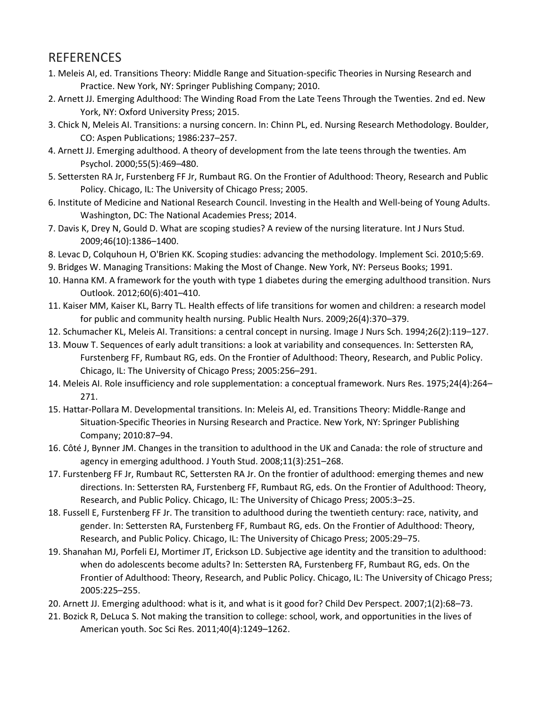# REFERENCES

- 1. Meleis AI, ed. Transitions Theory: Middle Range and Situation-specific Theories in Nursing Research and Practice. New York, NY: Springer Publishing Company; 2010.
- 2. Arnett JJ. Emerging Adulthood: The Winding Road From the Late Teens Through the Twenties. 2nd ed. New York, NY: Oxford University Press; 2015.
- 3. Chick N, Meleis AI. Transitions: a nursing concern. In: Chinn PL, ed. Nursing Research Methodology. Boulder, CO: Aspen Publications; 1986:237–257.
- 4. Arnett JJ. Emerging adulthood. A theory of development from the late teens through the twenties. Am Psychol. 2000;55(5):469–480.
- 5. Settersten RA Jr, Furstenberg FF Jr, Rumbaut RG. On the Frontier of Adulthood: Theory, Research and Public Policy. Chicago, IL: The University of Chicago Press; 2005.
- 6. Institute of Medicine and National Research Council. Investing in the Health and Well-being of Young Adults. Washington, DC: The National Academies Press; 2014.
- 7. Davis K, Drey N, Gould D. What are scoping studies? A review of the nursing literature. Int J Nurs Stud. 2009;46(10):1386–1400.
- 8. Levac D, Colquhoun H, O'Brien KK. Scoping studies: advancing the methodology. Implement Sci. 2010;5:69.
- 9. Bridges W. Managing Transitions: Making the Most of Change. New York, NY: Perseus Books; 1991.
- 10. Hanna KM. A framework for the youth with type 1 diabetes during the emerging adulthood transition. Nurs Outlook. 2012;60(6):401–410.
- 11. Kaiser MM, Kaiser KL, Barry TL. Health effects of life transitions for women and children: a research model for public and community health nursing. Public Health Nurs. 2009;26(4):370–379.
- 12. Schumacher KL, Meleis AI. Transitions: a central concept in nursing. Image J Nurs Sch. 1994;26(2):119–127.
- 13. Mouw T. Sequences of early adult transitions: a look at variability and consequences. In: Settersten RA, Furstenberg FF, Rumbaut RG, eds. On the Frontier of Adulthood: Theory, Research, and Public Policy. Chicago, IL: The University of Chicago Press; 2005:256–291.
- 14. Meleis AI. Role insufficiency and role supplementation: a conceptual framework. Nurs Res. 1975;24(4):264– 271.
- 15. Hattar-Pollara M. Developmental transitions. In: Meleis AI, ed. Transitions Theory: Middle-Range and Situation-Specific Theories in Nursing Research and Practice. New York, NY: Springer Publishing Company; 2010:87–94.
- 16. Côté J, Bynner JM. Changes in the transition to adulthood in the UK and Canada: the role of structure and agency in emerging adulthood. J Youth Stud. 2008;11(3):251–268.
- 17. Furstenberg FF Jr, Rumbaut RC, Settersten RA Jr. On the frontier of adulthood: emerging themes and new directions. In: Settersten RA, Furstenberg FF, Rumbaut RG, eds. On the Frontier of Adulthood: Theory, Research, and Public Policy. Chicago, IL: The University of Chicago Press; 2005:3–25.
- 18. Fussell E, Furstenberg FF Jr. The transition to adulthood during the twentieth century: race, nativity, and gender. In: Settersten RA, Furstenberg FF, Rumbaut RG, eds. On the Frontier of Adulthood: Theory, Research, and Public Policy. Chicago, IL: The University of Chicago Press; 2005:29–75.
- 19. Shanahan MJ, Porfeli EJ, Mortimer JT, Erickson LD. Subjective age identity and the transition to adulthood: when do adolescents become adults? In: Settersten RA, Furstenberg FF, Rumbaut RG, eds. On the Frontier of Adulthood: Theory, Research, and Public Policy. Chicago, IL: The University of Chicago Press; 2005:225–255.
- 20. Arnett JJ. Emerging adulthood: what is it, and what is it good for? Child Dev Perspect. 2007;1(2):68–73.
- 21. Bozick R, DeLuca S. Not making the transition to college: school, work, and opportunities in the lives of American youth. Soc Sci Res. 2011;40(4):1249–1262.